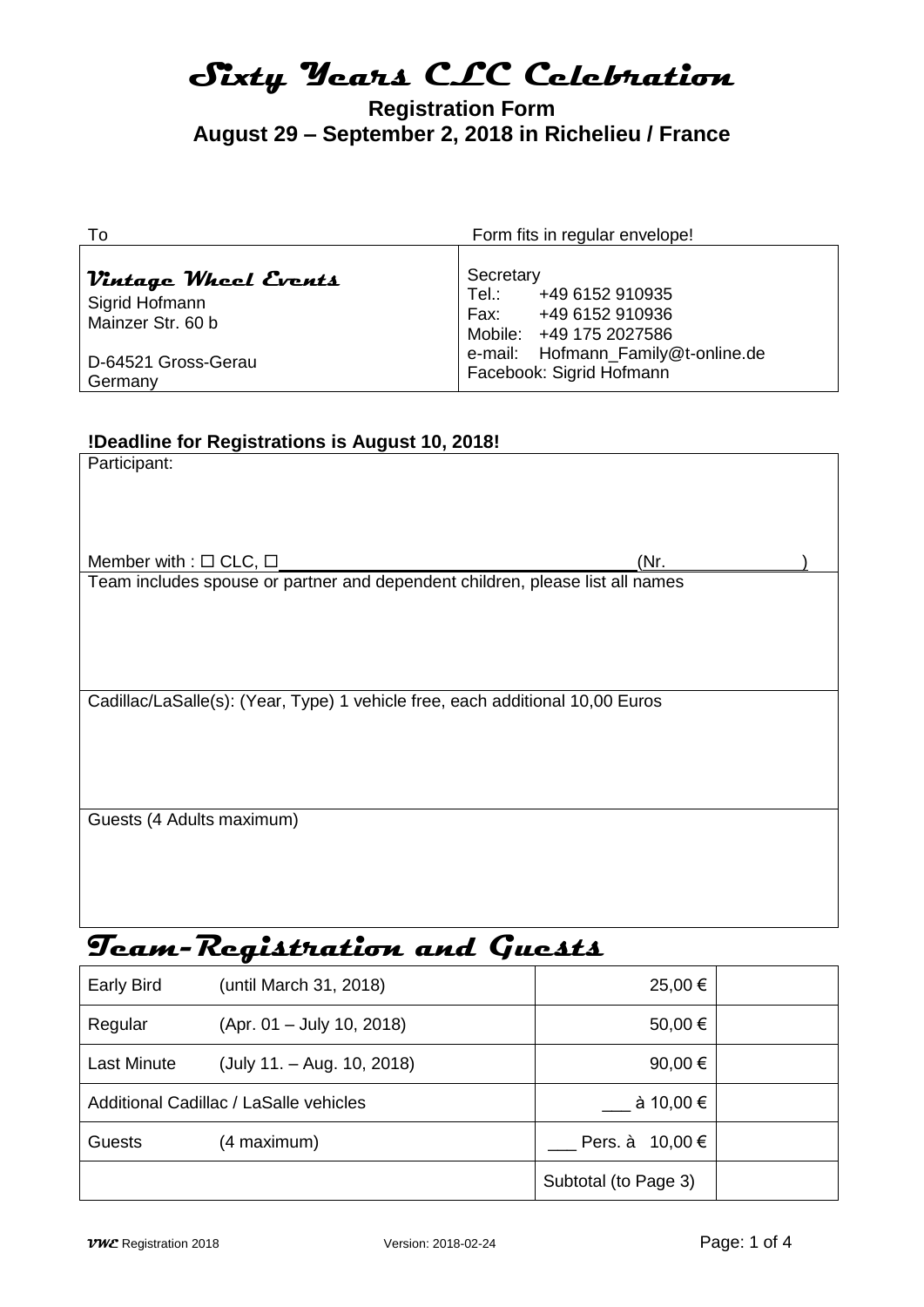# **Registration Form August 29 – September 2, 2018 in Richelieu / France**

| To                                                                                                                | Form fits in regular envelope!                                                                                                                                   |  |
|-------------------------------------------------------------------------------------------------------------------|------------------------------------------------------------------------------------------------------------------------------------------------------------------|--|
| Vintage Wheel Events<br>Sigrid Hofmann<br>Mainzer Str. 60 b<br>D-64521 Gross-Gerau<br>Germany                     | Secretary<br>Tel.:<br>+49 6152 910935<br>Fax:<br>+49 6152 910936<br>Mobile: +49 175 2027586<br>Hofmann_Family@t-online.de<br>e-mail:<br>Facebook: Sigrid Hofmann |  |
| !Deadline for Registrations is August 10, 2018!<br>Participant:                                                   |                                                                                                                                                                  |  |
| Member with : $\Box$ CLC, $\Box$<br>Team includes spouse or partner and dependent children, please list all names | (Nr.                                                                                                                                                             |  |
| Cadillac/LaSalle(s): (Year, Type) 1 vehicle free, each additional 10,00 Euros                                     |                                                                                                                                                                  |  |
| Guests (4 Adults maximum)                                                                                         |                                                                                                                                                                  |  |
|                                                                                                                   |                                                                                                                                                                  |  |

# **Team-Registration and Guests**

| <b>Early Bird</b>                      | (until March 31, 2018)      | 25,00 €              |  |
|----------------------------------------|-----------------------------|----------------------|--|
| Regular                                | $(Apr. 01 - July 10, 2018)$ | 50,00 €              |  |
| <b>Last Minute</b>                     | (July 11. – Aug. 10, 2018)  | 90,00 $\epsilon$     |  |
| Additional Cadillac / LaSalle vehicles |                             | à 10,00 €            |  |
| <b>Guests</b>                          | (4 maximum)                 | Pers. à $10,00 \in$  |  |
|                                        |                             | Subtotal (to Page 3) |  |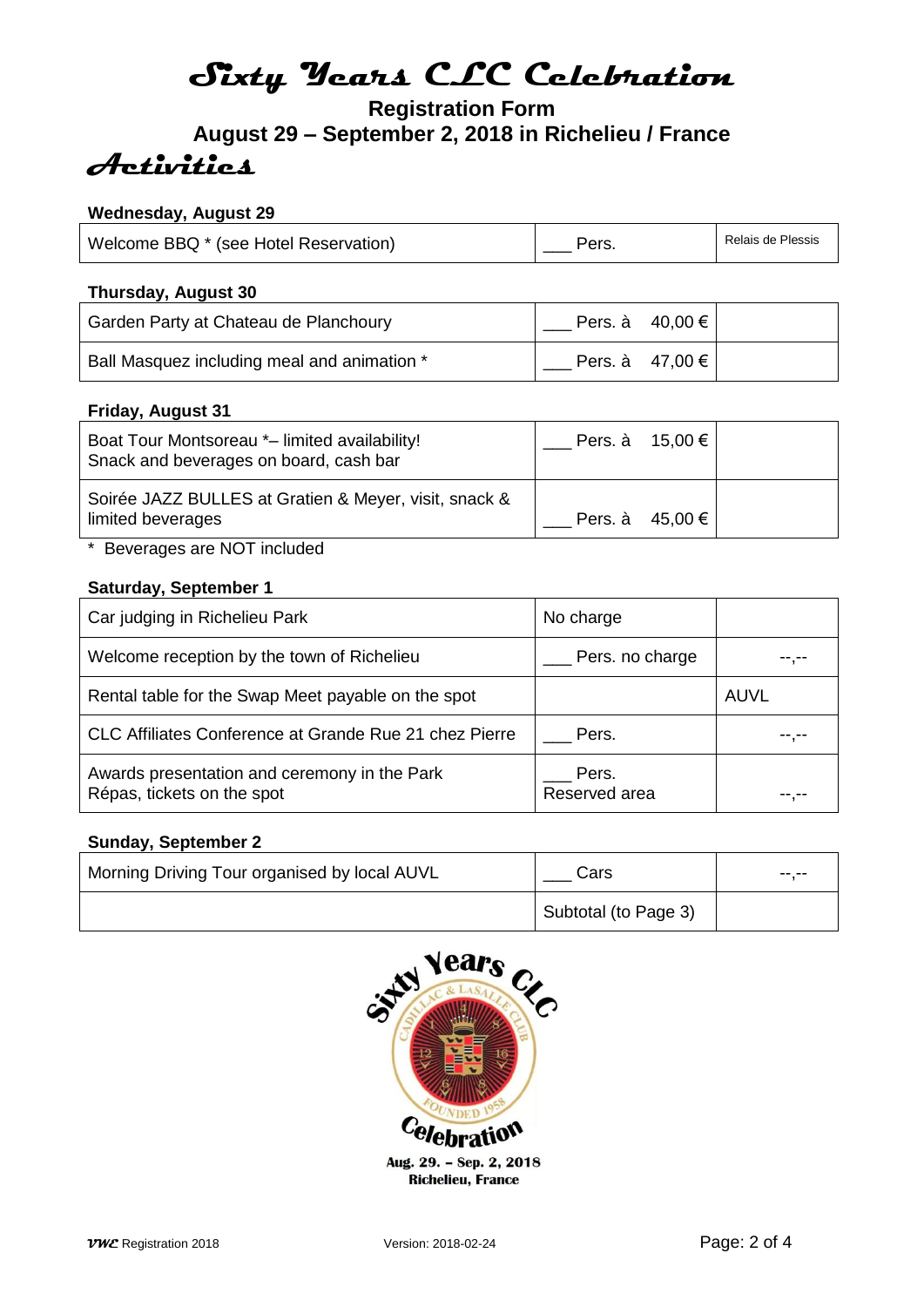# **Registration Form August 29 – September 2, 2018 in Richelieu / France Activities**

# **Wednesday, August 29**

| Welcome BBQ * (see Hotel Reservation) | Pers. | Relais de Plessis |
|---------------------------------------|-------|-------------------|
|---------------------------------------|-------|-------------------|

## **Thursday, August 30**

| Garden Party at Chateau de Planchoury       | Pers. à $40,00 \in$ |  |
|---------------------------------------------|---------------------|--|
| Ball Masquez including meal and animation * | Pers. à $47,00 \in$ |  |

### **Friday, August 31**

| Boat Tour Montsoreau *- limited availability!<br>Snack and beverages on board, cash bar | Pers. à $15,00 \in$ |  |
|-----------------------------------------------------------------------------------------|---------------------|--|
| Soirée JAZZ BULLES at Gratien & Meyer, visit, snack &<br>limited beverages              | Pers. à $45,00 \in$ |  |

\* Beverages are NOT included

### **Saturday, September 1**

| Car judging in Richelieu Park                                              | No charge              |      |
|----------------------------------------------------------------------------|------------------------|------|
| Welcome reception by the town of Richelieu                                 | Pers. no charge        |      |
| Rental table for the Swap Meet payable on the spot                         |                        | AUVL |
| CLC Affiliates Conference at Grande Rue 21 chez Pierre                     | Pers.                  |      |
| Awards presentation and ceremony in the Park<br>Répas, tickets on the spot | Pers.<br>Reserved area |      |

### **Sunday, September 2**

| Morning Driving Tour organised by local AUVL | Cars                 | -- -- |
|----------------------------------------------|----------------------|-------|
|                                              | Subtotal (to Page 3) |       |

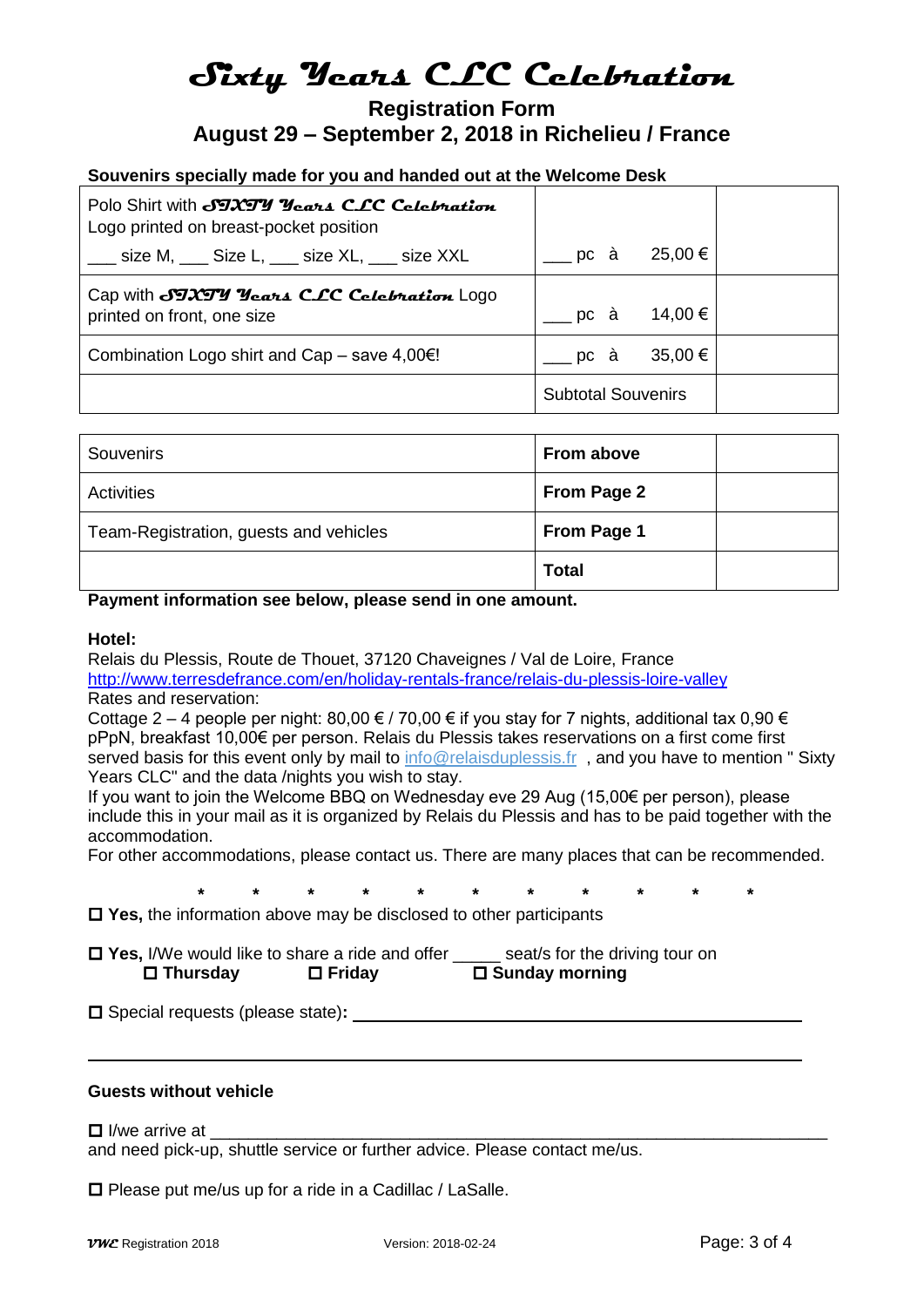# **Registration Form August 29 – September 2, 2018 in Richelieu / France**

# **Souvenirs specially made for you and handed out at the Welcome Desk**

| Polo Shirt with JTXTY Years CLC Celebration<br>Logo printed on breast-pocket position |                           |  |
|---------------------------------------------------------------------------------------|---------------------------|--|
| ____ size M, ____ Size L, ____ size XL, ___ size XXL                                  | 25,00 €<br>__ pc à        |  |
| Cap with SIXIY Years CLC Celebration LOGO<br>printed on front, one size               | 14,00 €<br>pc à           |  |
| Combination Logo shirt and Cap – save $4,00 \in I$                                    | ___ pc à<br>$35,00 \in$   |  |
|                                                                                       | <b>Subtotal Souvenirs</b> |  |

| Souvenirs                              | From above         |  |
|----------------------------------------|--------------------|--|
| Activities                             | <b>From Page 2</b> |  |
| Team-Registration, guests and vehicles | From Page 1        |  |
|                                        | <b>Total</b>       |  |

#### **Payment information see below, please send in one amount.**

#### **Hotel:**

Relais du Plessis, Route de Thouet, 37120 Chaveignes / Val de Loire, France <http://www.terresdefrance.com/en/holiday-rentals-france/relais-du-plessis-loire-valley> Rates and reservation:

Cottage 2 – 4 people per night: 80,00  $\in$  / 70,00  $\in$  if you stay for 7 nights, additional tax 0,90  $\in$ pPpN, breakfast 10,00€ per person. Relais du Plessis takes reservations on a first come first served basis for this event only by mail to [info@relaisduplessis.fr](mailto:info@relaisduplessis.fr) , and you have to mention " Sixty Years CLC" and the data /nights you wish to stay.

If you want to join the Welcome BBQ on Wednesday eve 29 Aug (15,00€ per person), please include this in your mail as it is organized by Relais du Plessis and has to be paid together with the accommodation.

For other accommodations, please contact us. There are many places that can be recommended.

**\* \* \* \* \* \* \* \* \* \* \***

**Yes,** the information above may be disclosed to other participants

**∆ Yes,** I/We would like to share a ride and offer \_\_\_\_\_ seat/s for the driving tour on <br> **D** Thursdav **D** Friday **D** Sunday morning **□ Thursday □ Friday** 

□ Special requests (please state): **■ and the state** of **all the state** of **all the state** of **all the state** of **all the state** of **all the state** of **all the state** of **all the state** of **all the state** of **all the st** 

#### **Guests without vehicle**

 $\Box$  I/we arrive at

and need pick-up, shuttle service or further advice. Please contact me/us.

 $\square$  Please put me/us up for a ride in a Cadillac / LaSalle.